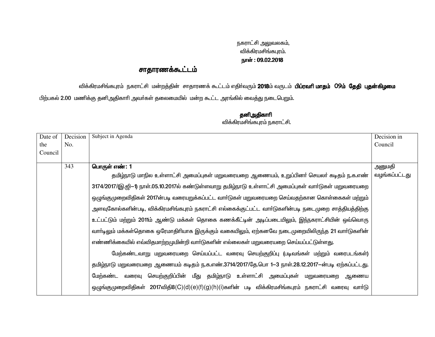## நகராட்சி அலுவலகம், விக்கிரமசிங்கபுரம். நாள் : 09.02.2018

## சாதாரணக்கூட்டம்

விக்கிரமசிங்கபுரம் நகராட்சி மன்றத்தின் சாதாரணக் கூட்டம் எதிர்வரும் **2018**ம் வருடம் **பிப்ரவரி மாதம் O9ம் தேதி புதன்கிழமை** 

பிற்பகல் 2.00 மணிக்கு தனிஅதிகாரி அவர்கள் தலைமையில் மன்ற கூட்ட அரங்கில் வைத்து நடைபெறும்.

| Date of | Decision | Subject in Agenda                                                                                    | Decision in   |
|---------|----------|------------------------------------------------------------------------------------------------------|---------------|
|         |          |                                                                                                      |               |
| the     | No.      |                                                                                                      | Council       |
| Council |          |                                                                                                      |               |
|         |          |                                                                                                      |               |
|         | 343      | பொருள் எண்: 1                                                                                        | அனுமதி        |
|         |          | தமிழ்நாடு மாநில உள்ளாட்சி அமைப்புகள் மறுவரையறை ஆணையம், உறுப்பினர் செயலர் கடிதம் ந.க.எண்              | வழங்கப்பட்டது |
|         |          | 3174/2017/(இ.ஜி-1) நாள்.05.10.2017ல் கண்டுள்ளவாறு தமிழ்நாடு உள்ளாட்சி அமைப்புகள் வார்டுகள் மறுவரையறை |               |
|         |          | ஒழுங்குமுறைவிதிகள் 2017ன்படி வரையறுக்கப்பட்ட வாா்டுகள் மறுவரையறை செய்வதற்கான கொள்கைகள் மற்றும்       |               |
|         |          | அளவுகோல்களின்படி, விக்கிரமசிங்கபுரம் நகராட்சி எல்கைக்குட்பட்ட வார்டுகளின்படி நடைமுறை சாத்தியத்திற்கு |               |
|         |          | உட்பட்டும் மற்றும் 2011ம் ஆண்டு மக்கள் தொகை கணக்கீட்டின் அடிப்படையிலும், இந்நகராட்சியின் ஒவ்வொரு     |               |
|         |          | வார்டிலும் மக்கள்தொகை ஒரேமாதிரியாக இருக்கும் வகையிலும், ஏற்கனவே நடைமுறையிலிருந்த 21 வார்டுகளின்      |               |
|         |          | எண்ணிக்கையில் எவ்விதமாற்றமுமின்றி வார்டுகளின் எல்லைகள் மறுவரையறை செய்யப்பட்டுள்ளது.                  |               |
|         |          | மேற்கண்டவாறு மறுவரையறை செய்யப்பட்ட வரைவு செயற்குறிப்பு (படிவங்கள் மற்றும் வரைபடங்கள்)                |               |
|         |          | தமிழ்நாடு மறுவரையறை ஆணையம் கடிதம் ந.க.எண்.3714/2017/தே.பொ 1–3 நாள்.28.12.2017–ன்படி ஏற்கப்பட்டது.    |               |
|         |          | செயற்குறிப்பின் மீது தமிழ்நாடு உள்ளாட்சி அமைப்புகள் மறுவரையறை ஆணைய<br>மேற்கண்ட<br>வரைவு              |               |
|         |          | ஒழுங்குமுறைவிதிகள் 2017விதி8(C)(d)(e)(f)(g)(h)(i)களின் படி விக்கிரமசிங்கபுரம் நகராட்சி வரைவு வாா்டு  |               |

## தனிஅதிகாரி .<br>விக்கிரமசிங்கபுரம் நகராட்சி.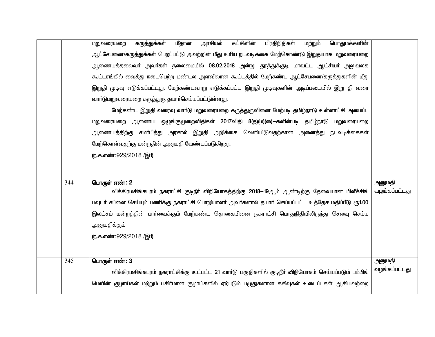|     | அரசியல்<br>கட்சிளின்<br>பிரதிநிதிகள்<br>மீதான<br>பொதுமக்களின்<br>கருத்துக்கள்<br>மற்றும்<br>மறுவரையறை<br>ஆட்சேபனை/கருத்துக்கள் பெறப்பட்டு அவற்றின் மீது உரிய நடவடிக்கை மேற்கொண்டு இறுதியாக மறுவரையறை<br>ஆணையத்தலைவா் அவா்கள் தலைமையில் 08.02.2018 அன்று தூத்துக்குடி மாவட்ட ஆட்சியா் அலுவலக<br>கூட்டரங்கில் வைத்து நடைபெற்ற மண்டல அளவிலான கூட்டத்தில் மேற்கண்ட ஆட்சேபனை/கருத்துகளின் மீது<br>இறுதி முடிவு எடுக்கப்பட்டது. மேற்கண்டவாறு எடுக்கப்பட்ட இறுதி முடிவுகளின் அடிப்படையில் இறு தி வரை<br>வார்டுமறுவரையறை கருத்துரு தயார்செய்யப்பட்டுள்ளது.<br>மேற்கண்ட இறுதி வரைவு வாா்டு மறுவரையறை கருத்துருவினை மேற்படி தமிழ்நாடு உள்ளாட்சி அமைப்பு |                         |
|-----|-----------------------------------------------------------------------------------------------------------------------------------------------------------------------------------------------------------------------------------------------------------------------------------------------------------------------------------------------------------------------------------------------------------------------------------------------------------------------------------------------------------------------------------------------------------------------------------------------------------------------------------------------|-------------------------|
|     | மறுவரையறை ஆணைய ஒழுங்குமுறைவிதிகள் 2017விதி 8(த)(ம)(ை) – களின்படி தமிழ்நாடு மறுவரையறை<br>ஆணையத்திற்கு சமா்பித்து அரசால் இறுதி அறிக்கை வெளியிடுவதற்கான அனைத்து நடவடிக்கைகள்<br>மேற்கொள்வதற்கு மன்றதின் அனுமதி வேண்டப்படுகிறது.<br><u>(ந</u> .க.எண்:929/2018 /இ1)                                                                                                                                                                                                                                                                                                                                                                                |                         |
| 344 | பொருள் எண்: 2<br>விக்கிரமசிங்கபுரம் நகராட்சி குடிநீா் விநியோகத்திற்கு 2018—19ஆம் ஆண்டிற்கு தேவையான பிளீச்சிங்<br>பவுடா் சப்ளை செய்யும் பணிக்கு நகராட்சி பொறியாளா் அவா்களால் தயாா் செய்யப்பட்ட உத்தேச மதிப்பீடு ரூ1.00<br>இலட்சம் மன்றத்தின் பாா்வைக்கும் மேற்கண்ட தொகையினை நகராட்சி பொதுநிதியிலிருந்து செலவு செய்ய<br>அனுமதிக்கும்<br><u>(ந</u> .க.எண்:929/2018 /இ1)                                                                                                                                                                                                                                                                          | அனுமதி<br>வழங்கப்பட்டது |
| 345 | பொருள் எண்: 3<br>விக்கிரமசிங்கபுரம் நகராட்சிக்கு உட்பட்ட 21 வார்டு பகுதிகளில் குடிநீர் விநியோகம் செய்யப்படும் பம்பிங்<br>மெயின் குழாய்கள் மற்றும் பகிா்மான குழாய்களில் ஏற்படும் பழுதுகளான கசிவுகள் உடைப்புகள் ஆகியவற்றை                                                                                                                                                                                                                                                                                                                                                                                                                       | அனுமதி<br>வழங்கப்பட்டது |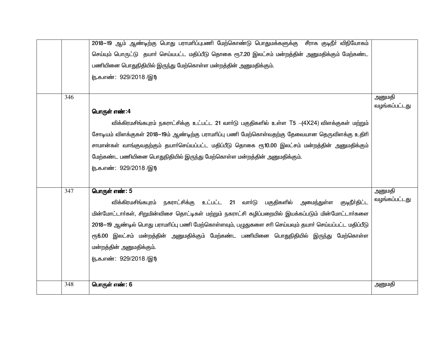|     | 2018–19 ஆம் ஆண்டிற்கு பொது பராமாிப்புபணி மேற்கொண்டு பொதுமக்களுக்கு சீராக குடிநீா் விநியோகம்           |                         |
|-----|-------------------------------------------------------------------------------------------------------|-------------------------|
|     | செய்யும் பொருட்டு தயாா் செய்யபட்ட மதிப்பீடு தொகை ரூ7.20 இலட்சம் மன்றத்தின் அனுமதிக்கும் மேற்கண்ட      |                         |
|     | பணியினை பொதுநிதியில் இருந்து மேற்கொள்ள மன்றத்தின் அனுமதிக்கும்.                                       |                         |
|     | (ந.க.எண்: 929/2018 /இ1)                                                                               |                         |
|     |                                                                                                       |                         |
| 346 |                                                                                                       | அனுமதி                  |
|     | பொருள் எண்:4                                                                                          | வழங்கப்பட்டது           |
|     | விக்கிரமசிங்கபுரம் நகராட்சிக்கு உட்பட்ட 21 வாா்டு பகுதிகளில் உள்ள T5 -(4X24) விளக்குகள் மற்றும்       |                         |
|     | சோடியம் விளக்குகள் 2018—19ம் ஆண்டிற்கு பராமாிப்பு பணி மேற்கொள்வதற்கு தேவையான தெருவிளக்கு உதிாி        |                         |
|     | சாமான்கள் வாங்குவதற்கும் தயாா்செய்யப்பட்ட மதிப்பீடு தொகை ரூ10.00 இலட்சம் மன்றத்தின் அனுமதிக்கும்      |                         |
|     | மேற்கண்ட பணியினை பொதுநிதியில் இருந்து மேற்கொள்ள மன்றத்தின் அனுமதிக்கும்.                              |                         |
|     | (ந.க.எண்: 929/2018 /இ1)                                                                               |                         |
|     |                                                                                                       |                         |
|     |                                                                                                       |                         |
| 347 | பொருள் எண்: 5                                                                                         | அனுமதி<br>வழங்கப்பட்டது |
|     | விக்கிரமசிங்கபுரம் நகராட்சிக்கு உட்பட்ட 21 வாா்டு பகுதிகளில்<br>அமைந்துள்ள<br>குடிநீர்திட்ட           |                         |
|     | மின்மோட்டார்கள், சிறுமின்விசை தொட்டிகள் மற்றும் நகராட்சி கழிப்பறையில் இயக்கப்படும் மின்மோட்டார்களை    |                         |
|     | 2018–19 ஆண்டில் பொது பராமரிப்பு பணி மேற்கொள்ளவும், பழுதுகளை சரி செய்யவும் தயார் செய்யப்பட்ட மதிப்பீடு |                         |
|     | ரூ6.00 இலட்சம் மன்றத்தின் அனுமதிக்கும் மேற்கண்ட பணியினை பொதுநிதியில் இருந்து மேற்கொள்ள                |                         |
|     | மன்றத்தின் அனுமதிக்கும்.                                                                              |                         |
|     | (ந.க.எண்: 929/2018 /இ1)                                                                               |                         |
|     |                                                                                                       |                         |
| 348 | பொருள் எண்: 6                                                                                         | அனுமதி                  |
|     |                                                                                                       |                         |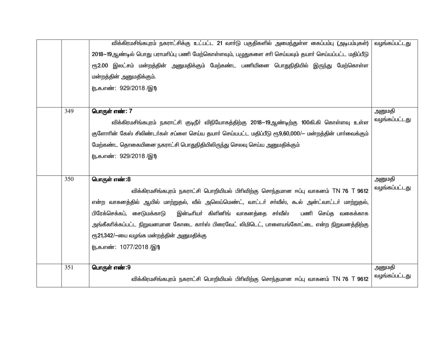|     | விக்கிரமசிங்கபுரம் நகராட்சிக்கு உட்பட்ட 21 வாா்டு பகுதிகளில் அமைந்துள்ள கைப்பம்பு (அடிபம்புகள்)<br>2018—19ஆண்டில் பொது பராமரிப்பு பணி மேற்கொள்ளவும், பழுதுகளை சரி செய்யவும் தயார் செய்யப்பட்ட மதிப்பீடு<br>ரூ2.00 இலட்சம் மன்றத்தின் அனுமதிக்கும் மேற்கண்ட பணியினை பொதுநிதியில் இருந்து மேற்கொள்ள<br>மன்றத்தின் அனுமதிக்கும்.<br>(ந.க.எண்: 929/2018 /இ1)                                                                                                                    | வழங்கப்பட்டது           |
|-----|-----------------------------------------------------------------------------------------------------------------------------------------------------------------------------------------------------------------------------------------------------------------------------------------------------------------------------------------------------------------------------------------------------------------------------------------------------------------------------|-------------------------|
| 349 | பொருள் எண்: 7<br>விக்கிரமசிங்கபுரம் நகராட்சி குடிநீா் விநியோகத்திற்கு 2018—19ஆண்டிற்கு 100கி.கி கொள்ளவு உள்ள<br>குளோரின் கேஸ் சிலிண்டர்கள் சப்ளை செய்ய தயார் செய்யபட்ட மதிப்பீடு ரூ9,60,000/— மன்றத்தின் பார்வைக்கும்<br>மேற்கண்ட தொகையினை நகராட்சி பொதுநிதியிலிருந்து செலவு செய்ய அனுமதிக்கும்<br>(ந.க.எண்: 929/2018 /இ1)                                                                                                                                                  | அனுமதி<br>வழங்கப்பட்டது |
| 350 | பொருள் எண்:8<br>விக்கிரமசிங்கபுரம் நகராட்சி பொறியியல் பிரிவிற்கு சொந்தமான ஈப்பு வாகனம் TN 76 T 9612<br>என்ற வாகனத்தில் ஆயில் மாற்றுதல், வீல் அலெய்மெண்ட், வாட்டா் சா்வீஸ், கூல் அன்ட்வாட்டா் மாற்றுதல்,<br>இன்டீரியா் கிளினிங் வாகனத்தை சா்வீஸ்<br>பிரேக்செக்கப், சைடுமக்காடு<br>பணி செய்த வகைக்காக<br>அங்கீகரிக்கப்பட்ட நிறுவனமான கோடை காா்ஸ் பிரைவேட் லிமிடெட், பாளையங்கோட்டை என்ற நிறுவனத்திற்கு<br>ரூ21,342/-யை வழங்க மன்றத்தின் அனுமதிக்கு<br>(ந.க.எண்: 1077/2018 /இ1) | அனுமதி<br>வழங்கப்பட்டது |
| 351 | பொருள் எண்:9<br>விக்கிரமசிங்கபுரம் நகராட்சி பொறியியல் பிரிவிற்கு சொந்தமான ஈப்பு வாகனம் TN 76 T 9612                                                                                                                                                                                                                                                                                                                                                                         | அனுமதி<br>வழங்கப்பட்டது |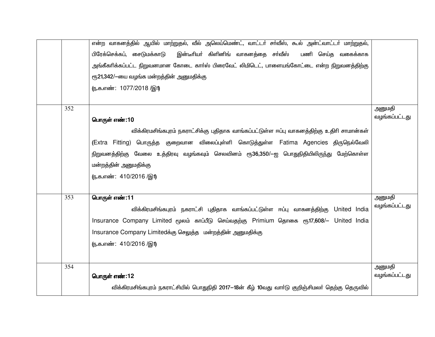|     | என்ற வாகனத்தில் ஆயில் மாற்றுதல், வீல் அலெய்மெண்ட், வாட்டா் சா்வீஸ், கூல் அன்ட்வாட்டா் மாற்றுதல்,<br>பிரேக்செக்கப், சைடுமக்காடு<br>இன்டீரியா் கிளினிங் வாகனத்தை சா்வீஸ்<br>பணி செய்த வகைக்காக<br>அங்கீகரிக்கப்பட்ட நிறுவனமான கோடை காா்ஸ் பிரைவேட் லிமிடெட், பாளையங்கோட்டை என்ற நிறுவனத்திற்கு<br>ரூ21,342/-யை வழங்க மன்றத்தின் அனுமதிக்கு<br>(ந.க.எண்: 1077/2018 /இ1) |                         |
|-----|----------------------------------------------------------------------------------------------------------------------------------------------------------------------------------------------------------------------------------------------------------------------------------------------------------------------------------------------------------------------|-------------------------|
|     |                                                                                                                                                                                                                                                                                                                                                                      |                         |
| 352 | பொருள் எண்:10<br>விக்கிரமசிங்கபுரம் நகராட்சிக்கு புதிதாக வாங்கப்பட்டுள்ள ஈப்பு வாகனத்திற்கு உதிரி சாமான்கள்<br>(Extra Fitting) பொருத்த குறைவான விலைப்புள்ளி கொடுத்துள்ள Fatima Agencies திருநெல்வேலி<br>நிறுவனத்திற்கு வேலை உத்திரவு வழங்கவும் செலவினம் ரூ36,350/—ஐ பொதுநிதியிலிருந்து மேற்கொள்ள                                                                     | அனுமதி<br>வழங்கப்பட்டது |
|     | மன்றத்தின் அனுமதிக்கு<br>(ந.க.எண்: 410/2016 /இ1)                                                                                                                                                                                                                                                                                                                     |                         |
| 353 | பொருள் எண்:11<br>விக்கிரமசிங்கபுரம் நகராட்சி புதிதாக வாங்கப்பட்டுள்ள ஈப்பு வாகனத்திற்கு United India<br>Insurance Company Limited மூலம் காப்பீடு செய்வதற்கு Primium தொகை ரூ17,608/- United India<br>Insurance Company Limitedக்கு செலுத்த மன்றத்தின் அனுமதிக்கு<br>(ந.க.எண்: 410/2016 /இ1)                                                                           | அனுமதி<br>வழங்கப்பட்டது |
| 354 | பொருள் எண்:12<br>விக்கிரமசிங்கபுரம் நகராட்சியில் பொதுநிதி 2017—18ன் கீழ் 10வது வாா்டு குறிஞ்சிமலா் தெற்கு தெருவில்                                                                                                                                                                                                                                                   | அனுமதி<br>வழங்கப்பட்டது |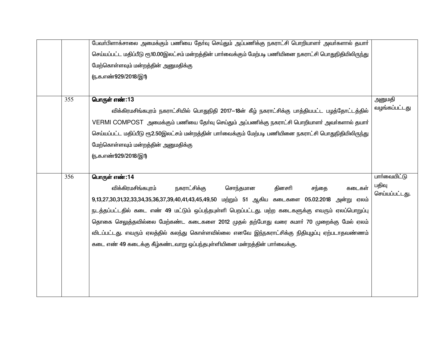|     | பேவா்பிளாக்சாலை அமைக்கும் பணியை தோ்வு செய்தும் அப்பணிக்கு நகராட்சி பொறியாளா் அவா்களால் தயாா்             |                |
|-----|----------------------------------------------------------------------------------------------------------|----------------|
|     | செய்யப்பட்ட மதிப்பீடு ரூ10.00இலட்சம் மன்றத்தின் பாா்வைக்கும் மேற்படி பணியினை நகராட்சி பொதுநிதியிலிருந்து |                |
|     | மேற்கொள்ளவும் மன்றத்தின் அனுமதிக்கு                                                                      |                |
|     | <u>ரு.க.எண்929/2018/இ1)</u>                                                                              |                |
|     |                                                                                                          |                |
| 355 | பொருள் எண்:13                                                                                            | அனுமதி         |
|     | விக்கிரமசிங்கபுரம் நகராட்சியில் பொதுநிதி 2017—18ன் கீழ் நகராட்சிக்கு பாத்தியபட்ட பழத்தோட்டத்தில்         | வழங்கப்பட்டது  |
|     | VERMI COMPOST அமைக்கும் பணியை தேர்வு செய்தும் அப்பணிக்கு நகராட்சி பொறியாளர் அவர்களால் தயார்              |                |
|     | செய்யப்பட்ட மதிப்பீடு ரூ2.50இலட்சம் மன்றத்தின் பார்வைக்கும் மேற்படி பணியினை நகராட்சி பொதுநிதியிலிருந்து  |                |
|     | மேற்கொள்ளவும் மன்றத்தின் அனுமதிக்கு                                                                      |                |
|     | <u>ரு.க.எண்929/2018/இ1)</u>                                                                              |                |
|     |                                                                                                          |                |
| 356 | பொருள் எண்:14                                                                                            | பார்வையிட்டு   |
|     | விக்கிரமசிங்கபுரம்<br>நகராட்சிக்கு<br>சொந்தமான<br>தினசரி<br>சந்தை<br>கடைகள்                              | பதிவு          |
|     | 9,13,27,30,31,32,33,34,35,36,37,39,40,41,43,45,49,50 மற்றும் 51 ஆகிய கடைகளை 05.02.2018<br>அன்று ஏலம்     | செய்யப்பட்டது. |
|     | நடத்தப்பட்டதில் கடை எண் 49 மட்டும் ஒப்பந்தபுள்ளி பெறப்பட்டது. மற்ற கடைகளுக்கு எவரும் ஏலப்பொறுப்பு        |                |
|     | தொகை செலுத்தவில்லை மேற்கண்ட கடைகளை 2012 முதல் தற்போது வரை சுமாா் 70 முறைக்கு மேல் ஏலம்                   |                |
|     | விடப்பட்டது. எவரும் ஏலத்தில் கலந்து கொள்ளவில்லை எனவே இந்நகராட்சிக்கு நிதியுழப்பு ஏற்படாதவண்ணம்           |                |
|     | கடை எண் 49 கடைக்கு கீழ்கண்டவாறு ஒப்பந்தபுள்ளியினை மன்றத்தின் பார்வைக்கு.                                 |                |
|     |                                                                                                          |                |
|     |                                                                                                          |                |
|     |                                                                                                          |                |
|     |                                                                                                          |                |
|     |                                                                                                          |                |